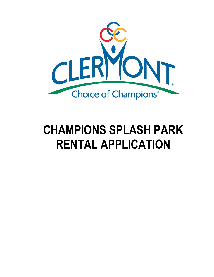

# **CHAMPIONS SPLASH PARK RENTAL APPLICATION**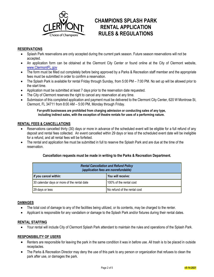

# **CHAMPIONS SPLASH PARK RENTAL APPLICATION RULES & REGULATIONS**

# **RESERVATIONS**

- Splash Park reservations are only accepted during the current park season. Future season reservations will not be accepted.
- An application form can be obtained at the Clermont City Center or found online at the City of Clermont website, [www.ClermontFL.gov](http://www.clermontfl.gov/)
- The form must be filled out completely before being approved by a Parks & Recreation staff member and the appropriate fees must be submitted in order to confirm a reservation.
- The Splash Park is available for rental Friday through Sunday, from 5:00 PM 7:00 PM. No set up will be allowed prior to the start time.
- Application must be submitted at least 7 days prior to the reservation date requested.
- The City of Clermont reserves the right to cancel any reservation at any time.
- Submission of this completed application and payment must be delivered to the Clermont City Center, 620 W Montrose St, Clermont, FL 34711 from 8:00 AM – 5:00 PM, Monday through Friday.

**For-profit businesses are prohibited from charging admission or conducting sales of any type, including indirect sales, with the exception of theatre rentals for uses of a performing nature.**

# **RENTAL FEES & CANCELLATIONS**

- Reservations cancelled thirty (30) days or more in advance of the scheduled event will be eligible for a full refund of any deposit and rental fees collected. An event cancelled within 29 days or less of the scheduled event date will be ineligible for a refund, and all rental fees will be forfeited.
- The rental and application fee must be submitted in full to reserve the Splash Park and are due at the time of the reservation.

#### **Cancellation requests must be made in writing to the Parks & Recreation Department.**

| <b>Rental Cancellation and Refund Policy</b><br>(application fees are nonrefundable) |                              |  |  |  |  |
|--------------------------------------------------------------------------------------|------------------------------|--|--|--|--|
| If you cancel within:                                                                | <b>You will receive:</b>     |  |  |  |  |
| 30 calendar days or more of the rental date                                          | 100% of the rental cost      |  |  |  |  |
| 29 days or less                                                                      | No refund of the rental cost |  |  |  |  |

#### **DAMAGES**

- The total cost of damage to any of the facilities being utilized, or its contents, may be charged to the renter.
- Applicant is responsible for any vandalism or damage to the Splash Park and/or fixtures during their rental dates.

#### **RENTAL STAFFING**

Your rental will include City of Clermont Splash Park attendant to maintain the rules and operations of the Splash Park.

#### **RESPONSIBILITY OF USERS**

- Renters are responsible for leaving the park in the same condition it was in before use. All trash is to be placed in outside receptacles.
- The Parks & Recreation Director may deny the use of this park to any person or organization that refuses to clean the park after use, or damages the park.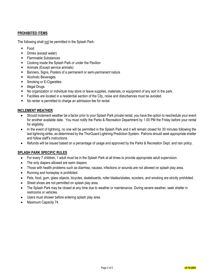# **PROHIBITED ITEMS**

The following shall not be permitted in the Splash Park:

- Food
- Drinks (except water)
- Flammable Substances
- Cooking inside the Splash Park or under the Pavilion
- Animals (Except service animals)
- Banners, Signs, Posters of a permanent or semi-permanent nature
- Alcoholic Beverages
- **\*** Smoking or E-Cigarettes
- $\times$  Illegal Drugs
- No organization or individual may store or leave supplies, materials, or equipment of any sort in the park.
- Facilities are located in a residential section of the City, noise and disturbances must be avoided.
- No renter is permitted to charge an admission fee for rental.

## **INCLEMENT WEATHER**

- Should inclement weather be a factor prior to your Splash Park private rental, you have the option to reschedule your event for another available date. You must notify the Parks & Recreation Department by 1:00 PM the Friday before your rental for eligibility.
- In the event of lightning, no one will be permitted in the Splash Park and it will remain closed for 30 minutes following the last lightning strike, as determined by the ThorGuard Lightning Prediction System. Patrons should seek appropriate shelter and follow staff's instructions.
- Refunds will be issued based on a percentage of usage and approved by the Parks & Recreation Dept. and rain policy.

# **SPLASH PARK SPECIFIC RULES**

- For every 7 children, 1 adult must be in the Splash Park at all times to provide appropriate adult supervision.
- The only diapers allowed are swim diapers.
- Those with health problems such as diarrhea, nausea, infections or wounds are not allowed on splash play area.
- Running and horseplay is prohibited.
- Pets, food, gum, glass objects, bicycles, skateboards, roller blades/skates, scooters, and smoking are strictly prohibited.
- Street shoes are not permitted on splash play area.
- The Splash Park may be closed at any time due to weather or maintenance. During severe weather, seek shelter in restrooms or vehicles.
- Users must shower before entering splash play area.
- Maximum Capacity 74.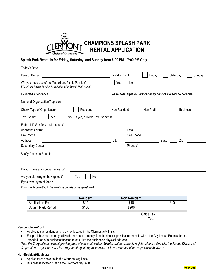

## **Splash Park Rental is for Friday, Saturday, and Sunday from 5:00 PM – 7:00 PM Only**

| Today's Date                                                                                                           |                                                            |            |                                                            |       |                    |
|------------------------------------------------------------------------------------------------------------------------|------------------------------------------------------------|------------|------------------------------------------------------------|-------|--------------------|
| Date of Rental                                                                                                         | 5 PM - 7 PM                                                |            | Friday                                                     |       | Sunday<br>Saturday |
| Will you need use of the Waterfront Picnic Pavilion?<br>Waterfront Picnic Pavilion is included with Splash Park rental | Yes                                                        | No         |                                                            |       |                    |
| <b>Expected Attendance</b>                                                                                             | Please note: Splash Park capacity cannot exceed 74 persons |            |                                                            |       |                    |
| Name of Organization/Applicant                                                                                         |                                                            |            |                                                            |       |                    |
| Check Type of Organization<br>Resident                                                                                 | Non Resident                                               |            | Non Profit                                                 |       | <b>Business</b>    |
| Tax Exempt<br>If yes, provide Tax Exempt #<br>No<br>Yes                                                                |                                                            |            | <u> 1980 - John Stein, Amerikaansk politiker (</u> † 1920) |       |                    |
| Federal ID # or Driver's License #                                                                                     |                                                            |            |                                                            |       |                    |
| Applicant's Name<br><u> 1989 - Johann Stoff, amerikansk politiker (</u>                                                |                                                            | Email      |                                                            |       |                    |
| Day Phone                                                                                                              |                                                            | Cell Phone |                                                            |       |                    |
| Address                                                                                                                | City                                                       |            |                                                            | State | Zip                |
| Secondary Contact                                                                                                      |                                                            | Phone #    |                                                            |       |                    |
| <b>Briefly Describe Rental:</b>                                                                                        |                                                            |            |                                                            |       |                    |
|                                                                                                                        |                                                            |            |                                                            |       |                    |
| Do you have any special requests?                                                                                      |                                                            |            |                                                            |       |                    |
| Are you planning on having food?<br>Yes<br>No<br>If yes, what type of food?                                            |                                                            |            |                                                            |       |                    |
|                                                                                                                        |                                                            |            |                                                            |       |                    |

*Food is only permitted in the pavilions outside of the splash park*

|                        | <b>Resident</b> | <b>Non Resident</b> |      |
|------------------------|-----------------|---------------------|------|
| <b>Application Fee</b> | \$10            | \$10                | \$10 |
| Splash Park Rental     | \$150           | \$200               |      |
|                        |                 | Sales Tax           |      |
|                        |                 |                     |      |
|                        |                 |                     |      |

#### **Resident/Non-Profit:**

- Applicant is a resident or land owner located in the Clermont city limits
- For-profit businesses may utilize the resident rate only if the business's physical address is within the City limits. Rentals for the intended use of a business function must utilize the business's physical address.

*\*Non-Profit organizations must provide proof of non-profit status (501c3), and be currently registered and active with the Florida Division of Corporations. Applicant must be a registered agent, representative, or board member of the organization/business.*

#### **Non-Resident/Business:**

- Applicant resides outside the Clermont city limits
- **•** Business is located outside the Clermont city limits